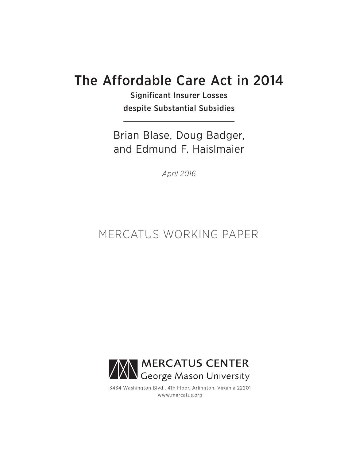# The Affordable Care Act in 2014

Significant Insurer Losses despite Substantial Subsidies

Brian Blase, Doug Badger, and Edmund F. Haislmaier

*April 2016*

# MERCATUS WORKING PAPER



3434 Washington Blvd., 4th Floor, Arlington, Virginia 22201 www.mercatus.org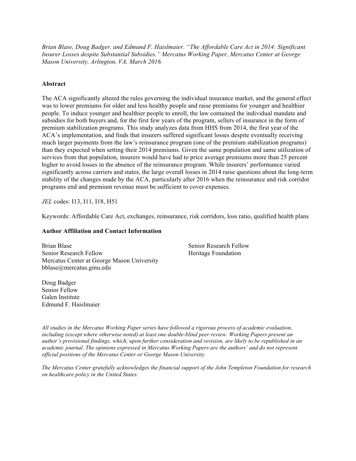*Brian Blase, Doug Badger, and Edmund F. Haislmaier. "The Affordable Care Act in 2014: Significant Insurer Losses despite Substantial Subsidies." Mercatus Working Paper, Mercatus Center at George Mason University, Arlington, VA, March 2016.*

#### **Abstract**

The ACA significantly altered the rules governing the individual insurance market, and the general effect was to lower premiums for older and less healthy people and raise premiums for younger and healthier people. To induce younger and healthier people to enroll, the law contained the individual mandate and subsidies for both buyers and, for the first few years of the program, sellers of insurance in the form of premium stabilization programs. This study analyzes data from HHS from 2014, the first year of the ACA's implementation, and finds that insurers suffered significant losses despite eventually receiving much larger payments from the law's reinsurance program (one of the premium stabilization programs) than they expected when setting their 2014 premiums. Given the same population and same utilization of services from that population, insurers would have had to price average premiums more than 25 percent higher to avoid losses in the absence of the reinsurance program. While insurers' performance varied significantly across carriers and states, the large overall losses in 2014 raise questions about the long-term stability of the changes made by the ACA, particularly after 2016 when the reinsurance and risk corridor programs end and premium revenue must be sufficient to cover expenses.

*JEL* codes: I13, I11, I18, H51

Keywords: Affordable Care Act, exchanges, reinsurance, risk corridors, loss ratio, qualified health plans

#### **Author Affiliation and Contact Information**

Brian Blase Senior Research Fellow Mercatus Center at George Mason University bblase@mercatus.gmu.edu

Senior Research Fellow Heritage Foundation

Doug Badger Senior Fellow Galen Institute Edmund F. Haislmaier

*All studies in the Mercatus Working Paper series have followed a rigorous process of academic evaluation, including (except where otherwise noted) at least one double-blind peer review. Working Papers present an author's provisional findings, which, upon further consideration and revision, are likely to be republished in an academic journal. The opinions expressed in Mercatus Working Papers are the authors' and do not represent official positions of the Mercatus Center or George Mason University.*

*The Mercatus Center gratefully acknowledges the financial support of the John Templeton Foundation for research on healthcare policy in the United States.*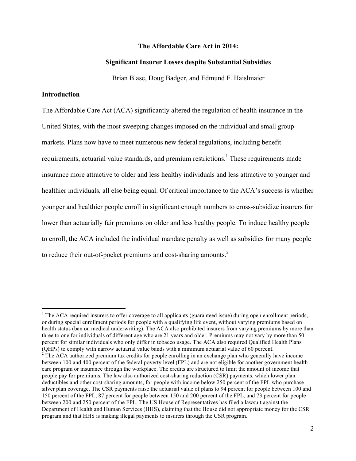## **The Affordable Care Act in 2014:**

#### **Significant Insurer Losses despite Substantial Subsidies**

Brian Blase, Doug Badger, and Edmund F. Haislmaier

## **Introduction**

The Affordable Care Act (ACA) significantly altered the regulation of health insurance in the United States, with the most sweeping changes imposed on the individual and small group markets. Plans now have to meet numerous new federal regulations, including benefit requirements, actuarial value standards, and premium restrictions.<sup>1</sup> These requirements made insurance more attractive to older and less healthy individuals and less attractive to younger and healthier individuals, all else being equal. Of critical importance to the ACA's success is whether younger and healthier people enroll in significant enough numbers to cross-subsidize insurers for lower than actuarially fair premiums on older and less healthy people. To induce healthy people to enroll, the ACA included the individual mandate penalty as well as subsidies for many people to reduce their out-of-pocket premiums and cost-sharing amounts.<sup>2</sup>

<sup>&</sup>lt;sup>1</sup> The ACA required insurers to offer coverage to all applicants (guaranteed issue) during open enrollment periods, or during special enrollment periods for people with a qualifying life event, without varying premiums based on health status (ban on medical underwriting). The ACA also prohibited insurers from varying premiums by more than three to one for individuals of different age who are 21 years and older. Premiums may not vary by more than 50 percent for similar individuals who only differ in tobacco usage. The ACA also required Qualified Health Plans (QHPs) to comply with narrow actuarial value bands with a minimum actuarial value of 60 percent.

 $2^2$  The ACA authorized premium tax credits for people enrolling in an exchange plan who generally have income between 100 and 400 percent of the federal poverty level (FPL) and are not eligible for another government health care program or insurance through the workplace. The credits are structured to limit the amount of income that people pay for premiums. The law also authorized cost-sharing reduction (CSR) payments, which lower plan deductibles and other cost-sharing amounts, for people with income below 250 percent of the FPL who purchase silver plan coverage. The CSR payments raise the actuarial value of plans to 94 percent for people between 100 and 150 percent of the FPL, 87 percent for people between 150 and 200 percent of the FPL, and 73 percent for people between 200 and 250 percent of the FPL. The US House of Representatives has filed a lawsuit against the Department of Health and Human Services (HHS), claiming that the House did not appropriate money for the CSR program and that HHS is making illegal payments to insurers through the CSR program.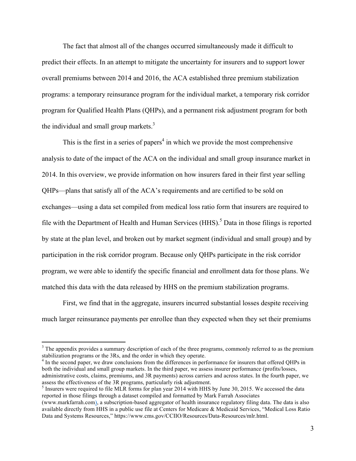The fact that almost all of the changes occurred simultaneously made it difficult to predict their effects. In an attempt to mitigate the uncertainty for insurers and to support lower overall premiums between 2014 and 2016, the ACA established three premium stabilization programs: a temporary reinsurance program for the individual market, a temporary risk corridor program for Qualified Health Plans (QHPs), and a permanent risk adjustment program for both the individual and small group markets. $3$ 

This is the first in a series of papers<sup>4</sup> in which we provide the most comprehensive analysis to date of the impact of the ACA on the individual and small group insurance market in 2014. In this overview, we provide information on how insurers fared in their first year selling QHPs—plans that satisfy all of the ACA's requirements and are certified to be sold on exchanges—using a data set compiled from medical loss ratio form that insurers are required to file with the Department of Health and Human Services  $(HHS)$ .<sup>5</sup> Data in those filings is reported by state at the plan level, and broken out by market segment (individual and small group) and by participation in the risk corridor program. Because only QHPs participate in the risk corridor program, we were able to identify the specific financial and enrollment data for those plans. We matched this data with the data released by HHS on the premium stabilization programs.

First, we find that in the aggregate, insurers incurred substantial losses despite receiving much larger reinsurance payments per enrollee than they expected when they set their premiums

 $3$  The appendix provides a summary description of each of the three programs, commonly referred to as the premium stabilization programs or the 3Rs, and the order in which they operate.

<sup>&</sup>lt;sup>4</sup> In the second paper, we draw conclusions from the differences in performance for insurers that offered QHPs in both the individual and small group markets. In the third paper, we assess insurer performance (profits/losses, administrative costs, claims, premiums, and 3R payments) across carriers and across states. In the fourth paper, we assess the effectiveness of the 3R programs, particularly risk adjustment.

 $<sup>5</sup>$  Insurers were required to file MLR forms for plan year 2014 with HHS by June 30, 2015. We accessed the data</sup> reported in those filings through a dataset compiled and formatted by Mark Farrah Associates

<sup>(</sup>www.markfarrah.com), a subscription-based aggregator of health insurance regulatory filing data. The data is also available directly from HHS in a public use file at Centers for Medicare & Medicaid Services, "Medical Loss Ratio Data and Systems Resources," https://www.cms.gov/CCIIO/Resources/Data-Resources/mlr.html.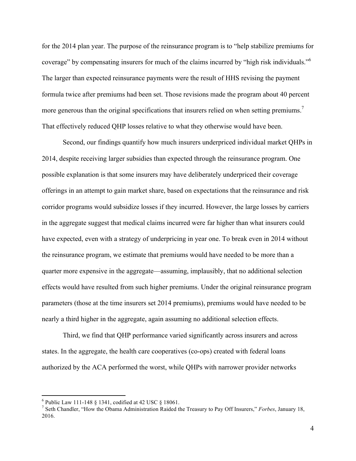for the 2014 plan year. The purpose of the reinsurance program is to "help stabilize premiums for coverage" by compensating insurers for much of the claims incurred by "high risk individuals."6 The larger than expected reinsurance payments were the result of HHS revising the payment formula twice after premiums had been set. Those revisions made the program about 40 percent more generous than the original specifications that insurers relied on when setting premiums.<sup>7</sup> That effectively reduced QHP losses relative to what they otherwise would have been.

Second, our findings quantify how much insurers underpriced individual market QHPs in 2014, despite receiving larger subsidies than expected through the reinsurance program. One possible explanation is that some insurers may have deliberately underpriced their coverage offerings in an attempt to gain market share, based on expectations that the reinsurance and risk corridor programs would subsidize losses if they incurred. However, the large losses by carriers in the aggregate suggest that medical claims incurred were far higher than what insurers could have expected, even with a strategy of underpricing in year one. To break even in 2014 without the reinsurance program, we estimate that premiums would have needed to be more than a quarter more expensive in the aggregate—assuming, implausibly, that no additional selection effects would have resulted from such higher premiums. Under the original reinsurance program parameters (those at the time insurers set 2014 premiums), premiums would have needed to be nearly a third higher in the aggregate, again assuming no additional selection effects.

Third, we find that QHP performance varied significantly across insurers and across states. In the aggregate, the health care cooperatives (co-ops) created with federal loans authorized by the ACA performed the worst, while QHPs with narrower provider networks

 <sup>6</sup> Public Law 111-148 § 1341, codified at 42 USC § 18061. <sup>7</sup> Seth Chandler, "How the Obama Administration Raided the Treasury to Pay Off Insurers," *Forbes*, January 18, 2016.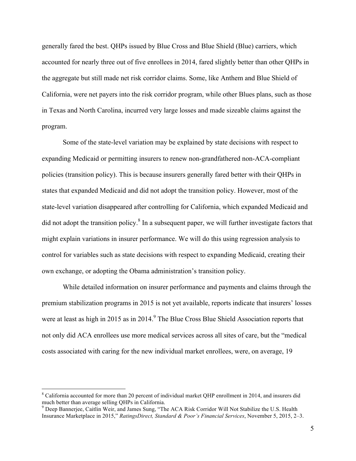generally fared the best. QHPs issued by Blue Cross and Blue Shield (Blue) carriers, which accounted for nearly three out of five enrollees in 2014, fared slightly better than other QHPs in the aggregate but still made net risk corridor claims. Some, like Anthem and Blue Shield of California, were net payers into the risk corridor program, while other Blues plans, such as those in Texas and North Carolina, incurred very large losses and made sizeable claims against the program.

Some of the state-level variation may be explained by state decisions with respect to expanding Medicaid or permitting insurers to renew non-grandfathered non-ACA-compliant policies (transition policy). This is because insurers generally fared better with their QHPs in states that expanded Medicaid and did not adopt the transition policy. However, most of the state-level variation disappeared after controlling for California, which expanded Medicaid and did not adopt the transition policy. $8 \text{ In a subsequent paper, we will further investigate factors that}$ might explain variations in insurer performance. We will do this using regression analysis to control for variables such as state decisions with respect to expanding Medicaid, creating their own exchange, or adopting the Obama administration's transition policy.

While detailed information on insurer performance and payments and claims through the premium stabilization programs in 2015 is not yet available, reports indicate that insurers' losses were at least as high in 2015 as in 2014.<sup>9</sup> The Blue Cross Blue Shield Association reports that not only did ACA enrollees use more medical services across all sites of care, but the "medical costs associated with caring for the new individual market enrollees, were, on average, 19

<sup>&</sup>lt;sup>8</sup> California accounted for more than 20 percent of individual market QHP enrollment in 2014, and insurers did much better than average selling QHPs in California.

<sup>&</sup>lt;sup>9</sup> Deep Bannerjee, Caitlin Weir, and James Sung, "The ACA Risk Corridor Will Not Stabilize the U.S. Health Insurance Marketplace in 2015," *RatingsDirect, Standard & Poor's Financial Services*, November 5, 2015, 2–3.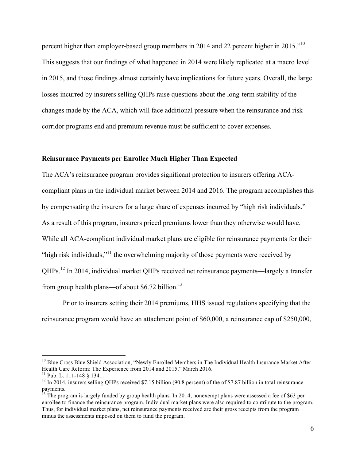percent higher than employer-based group members in 2014 and 22 percent higher in 2015."10 This suggests that our findings of what happened in 2014 were likely replicated at a macro level in 2015, and those findings almost certainly have implications for future years. Overall, the large losses incurred by insurers selling QHPs raise questions about the long-term stability of the changes made by the ACA, which will face additional pressure when the reinsurance and risk corridor programs end and premium revenue must be sufficient to cover expenses.

# **Reinsurance Payments per Enrollee Much Higher Than Expected**

The ACA's reinsurance program provides significant protection to insurers offering ACAcompliant plans in the individual market between 2014 and 2016. The program accomplishes this by compensating the insurers for a large share of expenses incurred by "high risk individuals." As a result of this program, insurers priced premiums lower than they otherwise would have. While all ACA-compliant individual market plans are eligible for reinsurance payments for their "high risk individuals,"<sup>11</sup> the overwhelming majority of those payments were received by QHPs.<sup>12</sup> In 2014, individual market QHPs received net reinsurance payments—largely a transfer from group health plans—of about \$6.72 billion. $^{13}$ 

Prior to insurers setting their 2014 premiums, HHS issued regulations specifying that the reinsurance program would have an attachment point of \$60,000, a reinsurance cap of \$250,000,

<sup>&</sup>lt;sup>10</sup> Blue Cross Blue Shield Association, "Newly Enrolled Members in The Individual Health Insurance Market After Health Care Reform: The Experience from 2014 and 2015," March 2016.<br><sup>11</sup> Pub. L. 111-148 § 1341.

 $12$  In 2014, insurers selling OHPs received \$7.15 billion (90.8 percent) of the of \$7.87 billion in total reinsurance payments.

<sup>&</sup>lt;sup>13</sup> The program is largely funded by group health plans. In 2014, nonexempt plans were assessed a fee of \$63 per enrollee to finance the reinsurance program. Individual market plans were also required to contribute to the program. Thus, for individual market plans, net reinsurance payments received are their gross receipts from the program minus the assessments imposed on them to fund the program.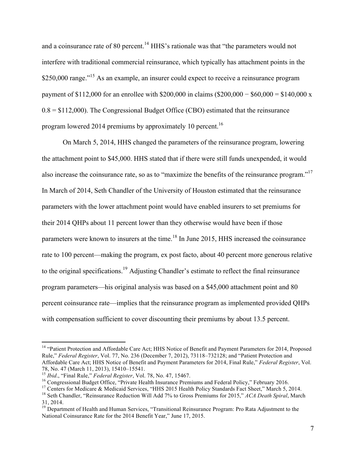and a coinsurance rate of 80 percent.<sup>14</sup> HHS's rationale was that "the parameters would not interfere with traditional commercial reinsurance, which typically has attachment points in the \$250,000 range."<sup>15</sup> As an example, an insurer could expect to receive a reinsurance program payment of \$112,000 for an enrollee with \$200,000 in claims (\$200,000 − \$60,000 = \$140,000 x  $0.8 = $112,000$ . The Congressional Budget Office (CBO) estimated that the reinsurance program lowered 2014 premiums by approximately 10 percent.<sup>16</sup>

On March 5, 2014, HHS changed the parameters of the reinsurance program, lowering the attachment point to \$45,000. HHS stated that if there were still funds unexpended, it would also increase the coinsurance rate, so as to "maximize the benefits of the reinsurance program."<sup>17</sup> In March of 2014, Seth Chandler of the University of Houston estimated that the reinsurance parameters with the lower attachment point would have enabled insurers to set premiums for their 2014 QHPs about 11 percent lower than they otherwise would have been if those parameters were known to insurers at the time.<sup>18</sup> In June 2015, HHS increased the coinsurance rate to 100 percent—making the program, ex post facto, about 40 percent more generous relative to the original specifications.<sup>19</sup> Adjusting Chandler's estimate to reflect the final reinsurance program parameters—his original analysis was based on a \$45,000 attachment point and 80 percent coinsurance rate—implies that the reinsurance program as implemented provided QHPs with compensation sufficient to cover discounting their premiums by about 13.5 percent.

<sup>&</sup>lt;sup>14</sup> "Patient Protection and Affordable Care Act; HHS Notice of Benefit and Payment Parameters for 2014, Proposed Rule," *Federal Register*, Vol. 77, No. 236 (December 7, 2012), 73118–732128; and "Patient Protection and Affordable Care Act; HHS Notice of Benefit and Payment Parameters for 2014, Final Rule," *Federal Register*, Vol.

<sup>&</sup>lt;sup>15</sup> *Ibid.*, "Final Rule," *Federal Register*, Vol. 78, No. 47, 15467.<br><sup>16</sup> Congressional Budget Office, "Private Health Insurance Premiums and Federal Policy," February 2016.<br><sup>17</sup> Centers for Medicare & Medicaid Service 31, 2014.

<sup>&</sup>lt;sup>19</sup> Department of Health and Human Services, "Transitional Reinsurance Program: Pro Rata Adjustment to the National Coinsurance Rate for the 2014 Benefit Year," June 17, 2015.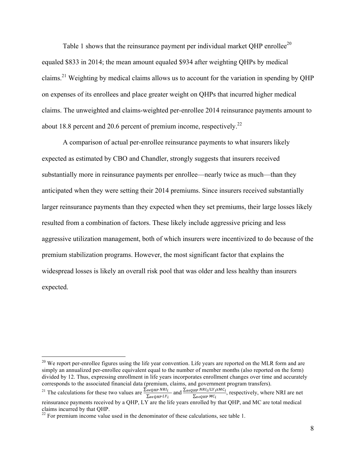Table 1 shows that the reinsurance payment per individual market QHP enrollee<sup>20</sup> equaled \$833 in 2014; the mean amount equaled \$934 after weighting QHPs by medical claims.<sup>21</sup> Weighting by medical claims allows us to account for the variation in spending by OHP on expenses of its enrollees and place greater weight on QHPs that incurred higher medical claims. The unweighted and claims-weighted per-enrollee 2014 reinsurance payments amount to about 18.8 percent and 20.6 percent of premium income, respectively.<sup>22</sup>

A comparison of actual per-enrollee reinsurance payments to what insurers likely expected as estimated by CBO and Chandler, strongly suggests that insurers received substantially more in reinsurance payments per enrollee—nearly twice as much—than they anticipated when they were setting their 2014 premiums. Since insurers received substantially larger reinsurance payments than they expected when they set premiums, their large losses likely resulted from a combination of factors. These likely include aggressive pricing and less aggressive utilization management, both of which insurers were incentivized to do because of the premium stabilization programs. However, the most significant factor that explains the widespread losses is likely an overall risk pool that was older and less healthy than insurers expected.

 $20$  We report per-enrollee figures using the life year convention. Life years are reported on the MLR form and are simply an annualized per-enrollee equivalent equal to the number of member months (also reported on the form) divided by 12. Thus, expressing enrollment in life years incorporates enrollment changes over time and accurately corresponds to the associated financial data (premium, claims, and government program transfers).

<sup>&</sup>lt;sup>21</sup> The calculations for these two values are  $\frac{\sum_{\alpha \in QHP} NRI_i}{\sum_{\alpha \in QHP} LY_i}$  and  $\frac{\sum_{\alpha \in QHP} NRI_i/LY_i x MC_i}{\sum_{\alpha \in QHP} MC_i}$ , respectively, where NRI are net reinsurance payments received by a QHP, LY are the life years enrolled by that QHP, and MC are total medical claims incurred by that QHP.

 $22$  For premium income value used in the denominator of these calculations, see table 1.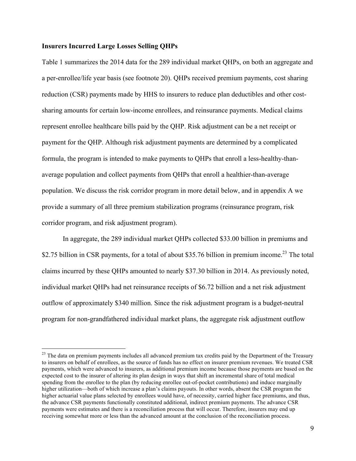# **Insurers Incurred Large Losses Selling QHPs**

Table 1 summarizes the 2014 data for the 289 individual market QHPs, on both an aggregate and a per-enrollee/life year basis (see footnote 20). QHPs received premium payments, cost sharing reduction (CSR) payments made by HHS to insurers to reduce plan deductibles and other costsharing amounts for certain low-income enrollees, and reinsurance payments. Medical claims represent enrollee healthcare bills paid by the QHP. Risk adjustment can be a net receipt or payment for the QHP. Although risk adjustment payments are determined by a complicated formula, the program is intended to make payments to QHPs that enroll a less-healthy-thanaverage population and collect payments from QHPs that enroll a healthier-than-average population. We discuss the risk corridor program in more detail below, and in appendix A we provide a summary of all three premium stabilization programs (reinsurance program, risk corridor program, and risk adjustment program).

In aggregate, the 289 individual market QHPs collected \$33.00 billion in premiums and \$2.75 billion in CSR payments, for a total of about \$35.76 billion in premium income.<sup>23</sup> The total claims incurred by these QHPs amounted to nearly \$37.30 billion in 2014. As previously noted, individual market QHPs had net reinsurance receipts of \$6.72 billion and a net risk adjustment outflow of approximately \$340 million. Since the risk adjustment program is a budget-neutral program for non-grandfathered individual market plans, the aggregate risk adjustment outflow

<sup>&</sup>lt;sup>23</sup> The data on premium payments includes all advanced premium tax credits paid by the Department of the Treasury to insurers on behalf of enrollees, as the source of funds has no effect on insurer premium revenues. We treated CSR payments, which were advanced to insurers, as additional premium income because those payments are based on the expected cost to the insurer of altering its plan design in ways that shift an incremental share of total medical spending from the enrollee to the plan (by reducing enrollee out-of-pocket contributions) and induce marginally higher utilization—both of which increase a plan's claims payouts. In other words, absent the CSR program the higher actuarial value plans selected by enrollees would have, of necessity, carried higher face premiums, and thus, the advance CSR payments functionally constituted additional, indirect premium payments. The advance CSR payments were estimates and there is a reconciliation process that will occur. Therefore, insurers may end up receiving somewhat more or less than the advanced amount at the conclusion of the reconciliation process.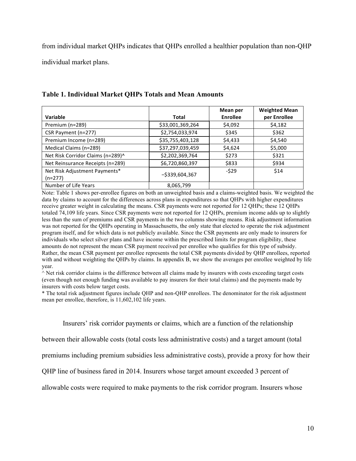from individual market QHPs indicates that QHPs enrolled a healthier population than non-QHP individual market plans.

|                                   |                   | Mean per | <b>Weighted Mean</b> |
|-----------------------------------|-------------------|----------|----------------------|
| Variable                          | Total             | Enrollee | per Enrollee         |
| Premium (n=289)                   | \$33,001,369,264  | \$4,092  | \$4,182              |
| CSR Payment (n=277)               | \$2,754,033,974   | \$345    | \$362                |
| Premium Income (n=289)            | \$35,755,403,128  | \$4,433  | \$4,540              |
| Medical Claims (n=289)            | \$37,297,039,459  | \$4,624  | \$5,000              |
| Net Risk Corridor Claims (n=289)^ | \$2,202,369,764   | \$273    | \$321                |
| Net Reinsurance Receipts (n=289)  | \$6,720,860,397   | \$833    | \$934                |
| Net Risk Adjustment Payments*     | $-$ \$339,604,367 | $-529$   | \$14                 |
| $(n=277)$                         |                   |          |                      |
| Number of Life Years              | 8,065,799         |          |                      |

# **Table 1. Individual Market QHPs Totals and Mean Amounts**

Note: Table 1 shows per-enrollee figures on both an unweighted basis and a claims-weighted basis. We weighted the data by claims to account for the differences across plans in expenditures so that QHPs with higher expenditures receive greater weight in calculating the means. CSR payments were not reported for 12 QHPs; these 12 QHPs totaled 74,109 life years. Since CSR payments were not reported for 12 QHPs, premium income adds up to slightly less than the sum of premiums and CSR payments in the two columns showing means. Risk adjustment information was not reported for the QHPs operating in Massachusetts, the only state that elected to operate the risk adjustment program itself, and for which data is not publicly available. Since the CSR payments are only made to insurers for individuals who select silver plans and have income within the prescribed limits for program eligibility, these amounts do not represent the mean CSR payment received per enrollee who qualifies for this type of subsidy. Rather, the mean CSR payment per enrollee represents the total CSR payments divided by QHP enrollees, reported with and without weighting the QHPs by claims. In appendix B, we show the averages per enrollee weighted by life year.

^ Net risk corridor claims is the difference between all claims made by insurers with costs exceeding target costs (even though not enough funding was available to pay insurers for their total claims) and the payments made by insurers with costs below target costs.

\* The total risk adjustment figures include QHP and non-QHP enrollees. The denominator for the risk adjustment mean per enrollee, therefore, is 11,602,102 life years.

Insurers' risk corridor payments or claims, which are a function of the relationship

between their allowable costs (total costs less administrative costs) and a target amount (total

premiums including premium subsidies less administrative costs), provide a proxy for how their

QHP line of business fared in 2014. Insurers whose target amount exceeded 3 percent of

allowable costs were required to make payments to the risk corridor program. Insurers whose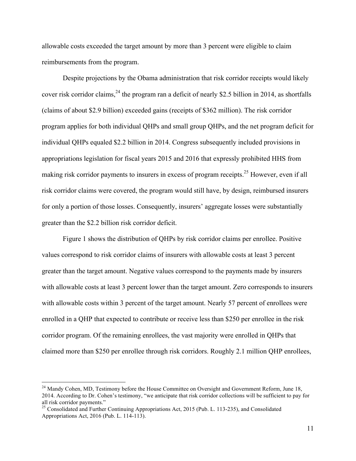allowable costs exceeded the target amount by more than 3 percent were eligible to claim reimbursements from the program.

Despite projections by the Obama administration that risk corridor receipts would likely cover risk corridor claims,  $^{24}$  the program ran a deficit of nearly \$2.5 billion in 2014, as shortfalls (claims of about \$2.9 billion) exceeded gains (receipts of \$362 million). The risk corridor program applies for both individual QHPs and small group QHPs, and the net program deficit for individual QHPs equaled \$2.2 billion in 2014. Congress subsequently included provisions in appropriations legislation for fiscal years 2015 and 2016 that expressly prohibited HHS from making risk corridor payments to insurers in excess of program receipts.<sup>25</sup> However, even if all risk corridor claims were covered, the program would still have, by design, reimbursed insurers for only a portion of those losses. Consequently, insurers' aggregate losses were substantially greater than the \$2.2 billion risk corridor deficit.

Figure 1 shows the distribution of QHPs by risk corridor claims per enrollee. Positive values correspond to risk corridor claims of insurers with allowable costs at least 3 percent greater than the target amount. Negative values correspond to the payments made by insurers with allowable costs at least 3 percent lower than the target amount. Zero corresponds to insurers with allowable costs within 3 percent of the target amount. Nearly 57 percent of enrollees were enrolled in a QHP that expected to contribute or receive less than \$250 per enrollee in the risk corridor program. Of the remaining enrollees, the vast majority were enrolled in QHPs that claimed more than \$250 per enrollee through risk corridors. Roughly 2.1 million QHP enrollees,

<sup>&</sup>lt;sup>24</sup> Mandy Cohen, MD, Testimony before the House Committee on Oversight and Government Reform, June 18, 2014. According to Dr. Cohen's testimony, "we anticipate that risk corridor collections will be sufficient to pay for all risk corridor payments."

 $25$  Consolidated and Further Continuing Appropriations Act, 2015 (Pub. L. 113-235), and Consolidated Appropriations Act, 2016 (Pub. L. 114-113).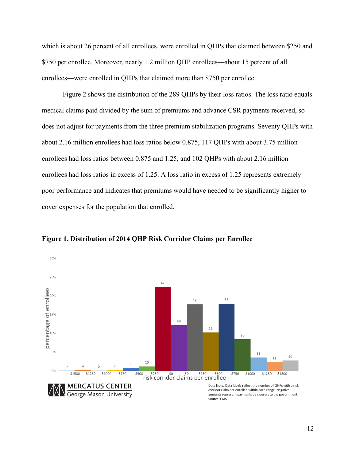which is about 26 percent of all enrollees, were enrolled in QHPs that claimed between \$250 and \$750 per enrollee. Moreover, nearly 1.2 million QHP enrollees—about 15 percent of all enrollees—were enrolled in QHPs that claimed more than \$750 per enrollee.

Figure 2 shows the distribution of the 289 QHPs by their loss ratios. The loss ratio equals medical claims paid divided by the sum of premiums and advance CSR payments received, so does not adjust for payments from the three premium stabilization programs. Seventy QHPs with about 2.16 million enrollees had loss ratios below 0.875, 117 QHPs with about 3.75 million enrollees had loss ratios between 0.875 and 1.25, and 102 QHPs with about 2.16 million enrollees had loss ratios in excess of 1.25. A loss ratio in excess of 1.25 represents extremely poor performance and indicates that premiums would have needed to be significantly higher to cover expenses for the population that enrolled.



**Figure 1. Distribution of 2014 QHP Risk Corridor Claims per Enrollee**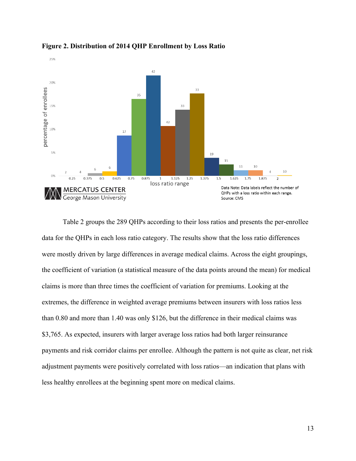

**Figure 2. Distribution of 2014 QHP Enrollment by Loss Ratio**

Table 2 groups the 289 QHPs according to their loss ratios and presents the per-enrollee data for the QHPs in each loss ratio category. The results show that the loss ratio differences were mostly driven by large differences in average medical claims. Across the eight groupings, the coefficient of variation (a statistical measure of the data points around the mean) for medical claims is more than three times the coefficient of variation for premiums. Looking at the extremes, the difference in weighted average premiums between insurers with loss ratios less than 0.80 and more than 1.40 was only \$126, but the difference in their medical claims was \$3,765. As expected, insurers with larger average loss ratios had both larger reinsurance payments and risk corridor claims per enrollee. Although the pattern is not quite as clear, net risk adjustment payments were positively correlated with loss ratios—an indication that plans with less healthy enrollees at the beginning spent more on medical claims.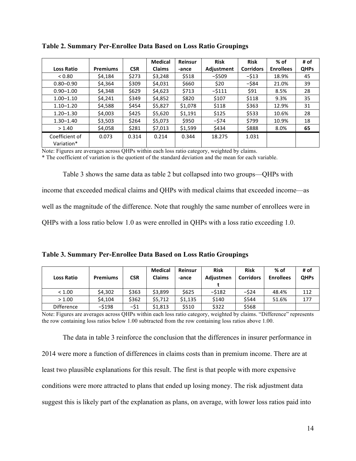|                              |                 |            | <b>Medical</b> | Reinsur | <b>Risk</b> | <b>Risk</b>      | $%$ of           | # of        |
|------------------------------|-----------------|------------|----------------|---------|-------------|------------------|------------------|-------------|
| <b>Loss Ratio</b>            | <b>Premiums</b> | <b>CSR</b> | <b>Claims</b>  | -ance   | Adjustment  | <b>Corridors</b> | <b>Enrollees</b> | <b>QHPs</b> |
| < 0.80                       | \$4.184         | \$273      | \$3,248        | \$518   | $-$ \$509   | $-513$           | 18.9%            | 45          |
| $0.80 - 0.90$                | \$4,364         | \$309      | \$4,031        | \$660   | \$20        | $-$ \$84         | 21.0%            | 39          |
| $0.90 - 1.00$                | \$4,348         | \$629      | \$4,623        | \$713   | $-5111$     | \$91             | 8.5%             | 28          |
| $1.00 - 1.10$                | \$4,241         | \$349      | \$4,852        | \$820   | \$107       | \$118            | 9.3%             | 35          |
| $1.10 - 1.20$                | \$4,588         | \$454      | \$5,827        | \$1,078 | \$118       | \$363            | 12.9%            | 31          |
| $1.20 - 1.30$                | \$4,003         | \$425      | \$5,620        | \$1,191 | \$125       | \$533            | 10.6%            | 28          |
| $1.30 - 1.40$                | \$3,503         | \$264      | \$5,073        | \$950   | -\$74       | \$799            | 10.9%            | 18          |
| > 1.40                       | \$4,058         | \$281      | \$7,013        | \$1,599 | \$434       | \$888            | 8.0%             | 65          |
| Coefficient of<br>Variation* | 0.073           | 0.314      | 0.214          | 0.344   | 18.275      | 1.031            |                  |             |

**Table 2. Summary Per-Enrollee Data Based on Loss Ratio Groupings**

Note: Figures are averages across QHPs within each loss ratio category, weighted by claims.

\* The coefficient of variation is the quotient of the standard deviation and the mean for each variable.

Table 3 shows the same data as table 2 but collapsed into two groups—QHPs with income that exceeded medical claims and QHPs with medical claims that exceeded income—as well as the magnitude of the difference. Note that roughly the same number of enrollees were in QHPs with a loss ratio below 1.0 as were enrolled in QHPs with a loss ratio exceeding 1.0.

| <b>Loss Ratio</b> | <b>Premiums</b> | <b>CSR</b> | <b>Medical</b><br><b>Claims</b> | Reinsur<br>-ance | <b>Risk</b><br>Adiustmen | <b>Risk</b><br><b>Corridors</b> | $%$ of<br><b>Enrollees</b> | # of<br><b>QHPs</b> |
|-------------------|-----------------|------------|---------------------------------|------------------|--------------------------|---------------------------------|----------------------------|---------------------|
| < 1.00            | \$4,302         | \$363      | \$3.899                         | \$625            | -\$182                   | $-524$                          | 48.4%                      | 112                 |
| > 1.00            | \$4.104         | \$362      | \$5.712                         | \$1,135          | \$140                    | \$544                           | 51.6%                      | 177                 |
| <b>Difference</b> | -\$198          | -\$1       | \$1.813                         | \$510            | \$322                    | \$568                           |                            |                     |

Note: Figures are averages across QHPs within each loss ratio category, weighted by claims. "Difference" represents the row containing loss ratios below 1.00 subtracted from the row containing loss ratios above 1.00.

The data in table 3 reinforce the conclusion that the differences in insurer performance in 2014 were more a function of differences in claims costs than in premium income. There are at least two plausible explanations for this result. The first is that people with more expensive conditions were more attracted to plans that ended up losing money. The risk adjustment data suggest this is likely part of the explanation as plans, on average, with lower loss ratios paid into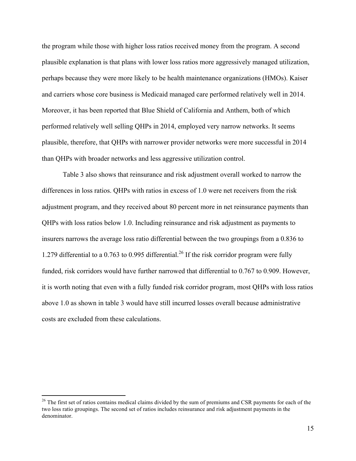the program while those with higher loss ratios received money from the program. A second plausible explanation is that plans with lower loss ratios more aggressively managed utilization, perhaps because they were more likely to be health maintenance organizations (HMOs). Kaiser and carriers whose core business is Medicaid managed care performed relatively well in 2014. Moreover, it has been reported that Blue Shield of California and Anthem, both of which performed relatively well selling QHPs in 2014, employed very narrow networks. It seems plausible, therefore, that QHPs with narrower provider networks were more successful in 2014 than QHPs with broader networks and less aggressive utilization control.

Table 3 also shows that reinsurance and risk adjustment overall worked to narrow the differences in loss ratios. QHPs with ratios in excess of 1.0 were net receivers from the risk adjustment program, and they received about 80 percent more in net reinsurance payments than QHPs with loss ratios below 1.0. Including reinsurance and risk adjustment as payments to insurers narrows the average loss ratio differential between the two groupings from a 0.836 to 1.279 differential to a 0.763 to 0.995 differential.<sup>26</sup> If the risk corridor program were fully funded, risk corridors would have further narrowed that differential to 0.767 to 0.909. However, it is worth noting that even with a fully funded risk corridor program, most QHPs with loss ratios above 1.0 as shown in table 3 would have still incurred losses overall because administrative costs are excluded from these calculations.

<sup>&</sup>lt;sup>26</sup> The first set of ratios contains medical claims divided by the sum of premiums and CSR payments for each of the two loss ratio groupings. The second set of ratios includes reinsurance and risk adjustment payments in the denominator.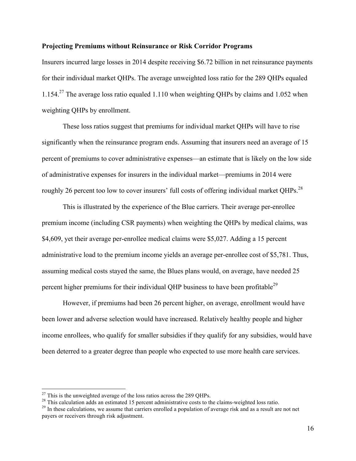# **Projecting Premiums without Reinsurance or Risk Corridor Programs**

Insurers incurred large losses in 2014 despite receiving \$6.72 billion in net reinsurance payments for their individual market QHPs. The average unweighted loss ratio for the 289 QHPs equaled 1.154.<sup>27</sup> The average loss ratio equaled 1.110 when weighting QHPs by claims and 1.052 when weighting QHPs by enrollment.

These loss ratios suggest that premiums for individual market QHPs will have to rise significantly when the reinsurance program ends. Assuming that insurers need an average of 15 percent of premiums to cover administrative expenses—an estimate that is likely on the low side of administrative expenses for insurers in the individual market—premiums in 2014 were roughly 26 percent too low to cover insurers' full costs of offering individual market QHPs.<sup>28</sup>

This is illustrated by the experience of the Blue carriers. Their average per-enrollee premium income (including CSR payments) when weighting the QHPs by medical claims, was \$4,609, yet their average per-enrollee medical claims were \$5,027. Adding a 15 percent administrative load to the premium income yields an average per-enrollee cost of \$5,781. Thus, assuming medical costs stayed the same, the Blues plans would, on average, have needed 25 percent higher premiums for their individual QHP business to have been profitable<sup>29</sup>

However, if premiums had been 26 percent higher, on average, enrollment would have been lower and adverse selection would have increased. Relatively healthy people and higher income enrollees, who qualify for smaller subsidies if they qualify for any subsidies, would have been deterred to a greater degree than people who expected to use more health care services.

<sup>&</sup>lt;sup>27</sup> This is the unweighted average of the loss ratios across the 289 QHPs.<br><sup>28</sup> This calculation adds an estimated 15 percent administrative costs to the claims-weighted loss ratio.<br><sup>29</sup> In these calculations, we assume

payers or receivers through risk adjustment.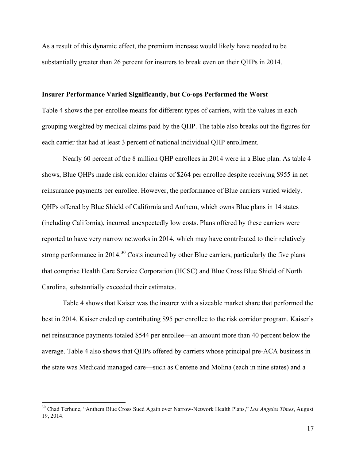As a result of this dynamic effect, the premium increase would likely have needed to be substantially greater than 26 percent for insurers to break even on their QHPs in 2014.

#### **Insurer Performance Varied Significantly, but Co-ops Performed the Worst**

Table 4 shows the per-enrollee means for different types of carriers, with the values in each grouping weighted by medical claims paid by the QHP. The table also breaks out the figures for each carrier that had at least 3 percent of national individual QHP enrollment.

Nearly 60 percent of the 8 million QHP enrollees in 2014 were in a Blue plan. As table 4 shows, Blue QHPs made risk corridor claims of \$264 per enrollee despite receiving \$955 in net reinsurance payments per enrollee. However, the performance of Blue carriers varied widely. QHPs offered by Blue Shield of California and Anthem, which owns Blue plans in 14 states (including California), incurred unexpectedly low costs. Plans offered by these carriers were reported to have very narrow networks in 2014, which may have contributed to their relatively strong performance in 2014.<sup>30</sup> Costs incurred by other Blue carriers, particularly the five plans that comprise Health Care Service Corporation (HCSC) and Blue Cross Blue Shield of North Carolina, substantially exceeded their estimates.

Table 4 shows that Kaiser was the insurer with a sizeable market share that performed the best in 2014. Kaiser ended up contributing \$95 per enrollee to the risk corridor program. Kaiser's net reinsurance payments totaled \$544 per enrollee—an amount more than 40 percent below the average. Table 4 also shows that QHPs offered by carriers whose principal pre-ACA business in the state was Medicaid managed care—such as Centene and Molina (each in nine states) and a

 <sup>30</sup> Chad Terhune, "Anthem Blue Cross Sued Again over Narrow-Network Health Plans," *Los Angeles Times*, August 19, 2014.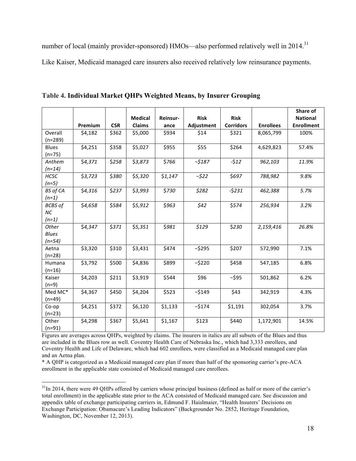number of local (mainly provider-sponsored) HMOs—also performed relatively well in 2014.<sup>31</sup> Like Kaiser, Medicaid managed care insurers also received relatively low reinsurance payments.

|                            |         |            |                |          |             |                  |                  | Share of          |
|----------------------------|---------|------------|----------------|----------|-------------|------------------|------------------|-------------------|
|                            |         |            | <b>Medical</b> | Reinsur- | <b>Risk</b> | <b>Risk</b>      |                  | <b>National</b>   |
|                            | Premium | <b>CSR</b> | Claims         | ance     | Adjustment  | <b>Corridors</b> | <b>Enrollees</b> | <b>Enrollment</b> |
| Overall                    | \$4,182 | \$362      | \$5,000        | \$934    | \$14        | \$321            | 8,065,799        | 100%              |
| $(n=289)$                  |         |            |                |          |             | \$264            |                  |                   |
| Blues<br>$(n=75)$          | \$4,251 | \$358      | \$5,027        | \$955    | \$55        |                  | 4,629,823        | 57.4%             |
| Anthem<br>$(n=14)$         | \$4,371 | \$258      | \$3,873        | \$766    | $-5187$     | $-512$           | 962,103          | 11.9%             |
| <b>HCSC</b>                | \$3,723 | \$380      | \$5,320        | \$1,147  | $-522$      | \$697            | 788,982          | 9.8%              |
| $(n=5)$                    |         |            |                |          |             |                  |                  |                   |
| <b>BS</b> of CA<br>$(n=1)$ | \$4,316 | \$237      | \$3,993        | \$730    | \$282       | $-5231$          | 462,388          | 5.7%              |
| <b>BCBS</b> of             | \$4,658 | \$584      | \$5,912        | \$963    | \$42        | \$574            | 256,934          | 3.2%              |
| <b>NC</b>                  |         |            |                |          |             |                  |                  |                   |
| $(n=1)$                    |         |            |                |          |             |                  |                  |                   |
| Other                      | \$4,347 | \$371      | \$5,351        | \$981    | \$129       | \$230            | 2,159,416        | 26.8%             |
| <b>Blues</b>               |         |            |                |          |             |                  |                  |                   |
| $(n=54)$                   |         |            |                |          |             |                  |                  |                   |
| Aetna                      | \$3,320 | \$310      | \$3,431        | \$474    | $-5295$     | \$207            | 572,990          | 7.1%              |
| $(n=28)$                   |         |            |                |          |             |                  |                  |                   |
| Humana                     | \$3,792 | \$500      | \$4,836        | \$899    | $-5220$     | \$458            | 547,185          | 6.8%              |
| $(n=16)$                   |         |            |                |          |             |                  |                  |                   |
| Kaiser                     | \$4,203 | \$211      | \$3,919        | \$544    | \$96        | $-595$           | 501,862          | 6.2%              |
| $(n=9)$                    |         |            |                |          |             |                  |                  |                   |
| Med MC*                    | \$4,367 | \$450      | \$4,204        | \$523    | $-5149$     | \$43             | 342,919          | 4.3%              |
| $(n=49)$                   |         |            |                |          |             |                  |                  |                   |
| Co-op<br>$(n=23)$          | \$4,251 | \$372      | \$6,120        | \$1,133  | $-5174$     | \$1,191          | 302,054          | 3.7%              |
| Other                      | \$4,298 | \$367      | \$5,641        | \$1,167  | \$123       | \$440            | 1,172,901        | 14.5%             |
| $(n=91)$                   |         |            |                |          |             |                  |                  |                   |

**Table 4. Individual Market QHPs Weighted Means, by Insurer Grouping**

Figures are averages across QHPs, weighted by claims. The insurers in italics are all subsets of the Blues and thus are included in the Blues row as well. Coventry Health Care of Nebraska Inc., which had 3,333 enrollees, and Coventry Health and Life of Delaware, which had 602 enrollees, were classified as a Medicaid managed care plan and an Aetna plan.

\* A QHP is categorized as a Medicaid managed care plan if more than half of the sponsoring carrier's pre-ACA enrollment in the applicable state consisted of Medicaid managed care enrollees.

<sup>&</sup>lt;sup>31</sup>In 2014, there were 49 QHPs offered by carriers whose principal business (defined as half or more of the carrier's total enrollment) in the applicable state prior to the ACA consisted of Medicaid managed care. See discussion and appendix table of exchange participating carriers in, Edmund F. Haislmaier, "Health Insurers' Decisions on Exchange Participation: Obamacare's Leading Indicators" (Backgrounder No. 2852, Heritage Foundation, Washington, DC, November 12, 2013).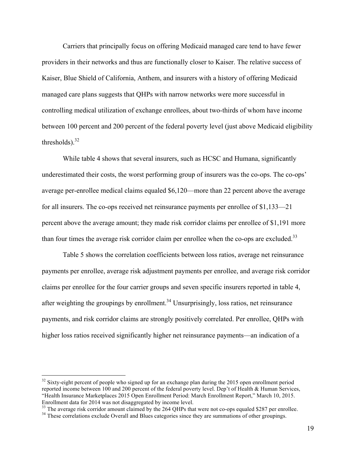Carriers that principally focus on offering Medicaid managed care tend to have fewer providers in their networks and thus are functionally closer to Kaiser. The relative success of Kaiser, Blue Shield of California, Anthem, and insurers with a history of offering Medicaid managed care plans suggests that QHPs with narrow networks were more successful in controlling medical utilization of exchange enrollees, about two-thirds of whom have income between 100 percent and 200 percent of the federal poverty level (just above Medicaid eligibility thresholds). $32$ 

While table 4 shows that several insurers, such as HCSC and Humana, significantly underestimated their costs, the worst performing group of insurers was the co-ops. The co-ops' average per-enrollee medical claims equaled \$6,120—more than 22 percent above the average for all insurers. The co-ops received net reinsurance payments per enrollee of \$1,133—21 percent above the average amount; they made risk corridor claims per enrollee of \$1,191 more than four times the average risk corridor claim per enrollee when the co-ops are excluded.<sup>33</sup>

Table 5 shows the correlation coefficients between loss ratios, average net reinsurance payments per enrollee, average risk adjustment payments per enrollee, and average risk corridor claims per enrollee for the four carrier groups and seven specific insurers reported in table 4, after weighting the groupings by enrollment.<sup>34</sup> Unsurprisingly, loss ratios, net reinsurance payments, and risk corridor claims are strongly positively correlated. Per enrollee, QHPs with higher loss ratios received significantly higher net reinsurance payments—an indication of a

 $32$  Sixty-eight percent of people who signed up for an exchange plan during the 2015 open enrollment period reported income between 100 and 200 percent of the federal poverty level. Dep't of Health & Human Services, "Health Insurance Marketplaces 2015 Open Enrollment Period: March Enrollment Report," March 10, 2015.

 $33$  The average risk corridor amount claimed by the 264 QHPs that were not co-ops equaled \$287 per enrollee.<br><sup>34</sup> These correlations exclude Overall and Blues categories since they are summations of other groupings.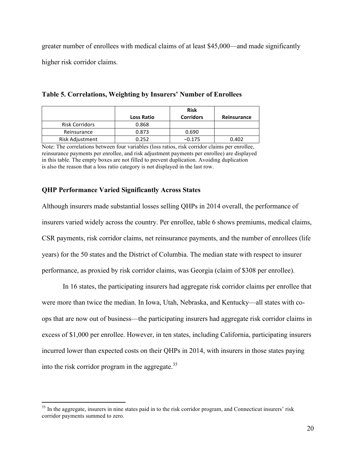greater number of enrollees with medical claims of at least \$45,000—and made significantly higher risk corridor claims.

|                        |                   | <b>Risk</b>      |             |
|------------------------|-------------------|------------------|-------------|
|                        | <b>Loss Ratio</b> | <b>Corridors</b> | Reinsurance |
| <b>Risk Corridors</b>  | 0.868             |                  |             |
| Reinsurance            | 0.873             | 0.690            |             |
| <b>Risk Adjustment</b> | 0.252             | $-0.175$         | 0.402       |

**Table 5. Correlations, Weighting by Insurers' Number of Enrollees**

Note: The correlations between four variables (loss ratios, risk corridor claims per enrollee, reinsurance payments per enrollee, and risk adjustment payments per enrollee) are displayed in this table. The empty boxes are not filled to prevent duplication. Avoiding duplication is also the reason that a loss ratio category is not displayed in the last row.

# **QHP Performance Varied Significantly Across States**

Although insurers made substantial losses selling QHPs in 2014 overall, the performance of insurers varied widely across the country. Per enrollee, table 6 shows premiums, medical claims, CSR payments, risk corridor claims, net reinsurance payments, and the number of enrollees (life years) for the 50 states and the District of Columbia. The median state with respect to insurer performance, as proxied by risk corridor claims, was Georgia (claim of \$308 per enrollee).

In 16 states, the participating insurers had aggregate risk corridor claims per enrollee that were more than twice the median. In Iowa, Utah, Nebraska, and Kentucky—all states with coops that are now out of business—the participating insurers had aggregate risk corridor claims in excess of \$1,000 per enrollee. However, in ten states, including California, participating insurers incurred lower than expected costs on their QHPs in 2014, with insurers in those states paying into the risk corridor program in the aggregate.<sup>35</sup>

<sup>&</sup>lt;sup>35</sup> In the aggregate, insurers in nine states paid in to the risk corridor program, and Connecticut insurers' risk corridor payments summed to zero.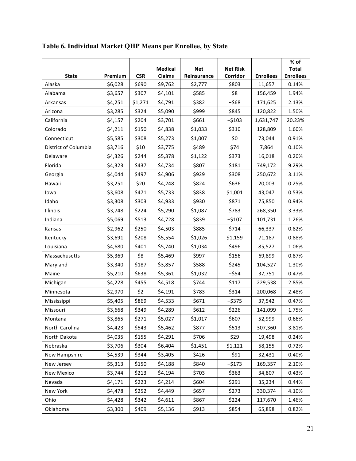|                      |         |            |                |             |                 |                  | % of             |
|----------------------|---------|------------|----------------|-------------|-----------------|------------------|------------------|
|                      |         |            | <b>Medical</b> | <b>Net</b>  | <b>Net Risk</b> |                  | <b>Total</b>     |
| <b>State</b>         | Premium | <b>CSR</b> | <b>Claims</b>  | Reinsurance | Corridor        | <b>Enrollees</b> | <b>Enrollees</b> |
| Alaska               | \$6,028 | \$690      | \$9,762        | \$2,777     | \$803           | 11,657           | 0.14%            |
| Alabama              | \$3,657 | \$307      | \$4,101        | \$585       | \$8             | 156,459          | 1.94%            |
| Arkansas             | \$4,251 | \$1,271    | \$4,791        | \$382       | $-568$          | 171,625          | 2.13%            |
| Arizona              | \$3,285 | \$324      | \$5,090        | \$999       | \$845           | 120,822          | 1.50%            |
| California           | \$4,157 | \$204      | \$3,701        | \$661       | $-5103$         | 1,631,747        | 20.23%           |
| Colorado             | \$4,211 | \$150      | \$4,838        | \$1,033     | \$310           | 128,809          | 1.60%            |
| Connecticut          | \$5,585 | \$308      | \$5,273        | \$1,007     | \$0             | 73,044           | 0.91%            |
| District of Columbia | \$3,716 | \$10       | \$3,775        | \$489       | \$74            | 7,864            | 0.10%            |
| Delaware             | \$4,326 | \$244      | \$5,378        | \$1,122     | \$373           | 16,018           | 0.20%            |
| Florida              | \$4,323 | \$437      | \$4,734        | \$807       | \$181           | 749,172          | 9.29%            |
| Georgia              | \$4,044 | \$497      | \$4,906        | \$929       | \$308           | 250,672          | 3.11%            |
| Hawaii               | \$3,251 | \$20       | \$4,248        | \$824       | \$636           | 20,003           | 0.25%            |
| lowa                 | \$3,608 | \$471      | \$5,733        | \$838       | \$1,001         | 43,047           | 0.53%            |
| Idaho                | \$3,308 | \$303      | \$4,933        | \$930       | \$871           | 75,850           | 0.94%            |
| Illinois             | \$3,748 | \$224      | \$5,290        | \$1,087     | \$783           | 268,350          | 3.33%            |
| Indiana              | \$5,069 | \$513      | \$4,728        | \$839       | $-5107$         | 101,731          | 1.26%            |
| Kansas               | \$2,962 | \$250      | \$4,503        | \$885       | \$714           | 66,337           | 0.82%            |
| Kentucky             | \$3,691 | \$208      | \$5,554        | \$1,026     | \$1,159         | 71,187           | 0.88%            |
| Louisiana            | \$4,680 | \$401      | \$5,740        | \$1,034     | \$496           | 85,527           | 1.06%            |
| Massachusetts        | \$5,369 | \$8        | \$5,469        | \$997       | \$156           | 69,899           | 0.87%            |
| Maryland             | \$3,340 | \$187      | \$3,857        | \$588       | \$245           | 104,527          | 1.30%            |
| Maine                | \$5,210 | \$638      | \$5,361        | \$1,032     | $-554$          | 37,751           | 0.47%            |
| Michigan             | \$4,228 | \$455      | \$4,518        | \$744       | \$117           | 229,538          | 2.85%            |
| Minnesota            | \$2,970 | \$2        | \$4,191        | \$783       | \$314           | 200,068          | 2.48%            |
| Mississippi          | \$5,405 | \$869      | \$4,533        | \$671       | $-5375$         | 37,542           | 0.47%            |
| Missouri             | \$3,668 | \$349      | \$4,289        | \$612       | \$226           | 141,099          | 1.75%            |
| Montana              | \$3,865 | \$271      | \$5,027        | \$1,017     | \$607           | 52,999           | 0.66%            |
| North Carolina       | \$4,423 | \$543      | \$5,462        | \$877       | \$513           | 307,360          | 3.81%            |
| North Dakota         | \$4,035 | \$155      | \$4,291        | \$706       | \$29            | 19,498           | 0.24%            |
| Nebraska             | \$3,706 | \$304      | \$6,404        | \$1,451     | \$1,121         | 58,155           | 0.72%            |
| New Hampshire        | \$4,539 | \$344      | \$3,405        | \$426       | $-591$          | 32,431           | 0.40%            |
| New Jersey           | \$5,313 | \$150      | \$4,188        | \$840       | $-5173$         | 169,357          | 2.10%            |
| <b>New Mexico</b>    | \$3,744 | \$213      | \$4,194        | \$703       | \$363           | 34,807           | 0.43%            |
| Nevada               | \$4,171 | \$223      | \$4,214        | \$604       | \$291           | 35,234           | 0.44%            |
| New York             | \$4,478 | \$252      | \$4,449        | \$657       | \$273           | 330,374          | 4.10%            |
| Ohio                 | \$4,428 | \$342      | \$4,611        | \$867       | \$224           | 117,670          | 1.46%            |
| Oklahoma             | \$3,300 | \$409      | \$5,136        | \$913       | \$854           | 65,898           | 0.82%            |

**Table 6. Individual Market QHP Means per Enrollee, by State**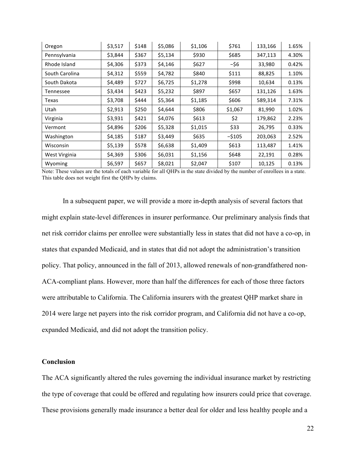| Oregon         | \$3,517 | \$148 | \$5,086 | \$1,106 | \$761   | 133,166 | 1.65% |
|----------------|---------|-------|---------|---------|---------|---------|-------|
| Pennsylvania   | \$3,844 | \$367 | \$5,134 | \$930   | \$685   | 347,113 | 4.30% |
| Rhode Island   | \$4,306 | \$373 | \$4,146 | \$627   | -\$6    | 33,980  | 0.42% |
| South Carolina | \$4,312 | \$559 | \$4,782 | \$840   | \$111   | 88,825  | 1.10% |
| South Dakota   | \$4,489 | \$727 | \$6,725 | \$1,278 | \$998   | 10,634  | 0.13% |
| Tennessee      | \$3,434 | \$423 | \$5,232 | \$897   | \$657   | 131,126 | 1.63% |
| Texas          | \$3,708 | \$444 | \$5,364 | \$1,185 | \$606   | 589,314 | 7.31% |
| Utah           | \$2,913 | \$250 | \$4,644 | \$806   | \$1,067 | 81,990  | 1.02% |
| Virginia       | \$3,931 | \$421 | \$4,076 | \$613   | \$2     | 179,862 | 2.23% |
| Vermont        | \$4,896 | \$206 | \$5,328 | \$1,015 | \$33    | 26,795  | 0.33% |
| Washington     | \$4,185 | \$187 | \$3,449 | \$635   | $-5105$ | 203,063 | 2.52% |
| Wisconsin      | \$5,139 | \$578 | \$6,638 | \$1,409 | \$613   | 113,487 | 1.41% |
| West Virginia  | \$4,369 | \$306 | \$6,031 | \$1,156 | \$648   | 22,191  | 0.28% |
| Wyoming        | \$6,597 | \$657 | \$8,021 | \$2,047 | \$107   | 10,125  | 0.13% |

Note: These values are the totals of each variable for all QHPs in the state divided by the number of enrollees in a state. This table does not weight first the QHPs by claims.

In a subsequent paper, we will provide a more in-depth analysis of several factors that might explain state-level differences in insurer performance. Our preliminary analysis finds that net risk corridor claims per enrollee were substantially less in states that did not have a co-op, in states that expanded Medicaid, and in states that did not adopt the administration's transition policy. That policy, announced in the fall of 2013, allowed renewals of non-grandfathered non-ACA-compliant plans. However, more than half the differences for each of those three factors were attributable to California. The California insurers with the greatest QHP market share in 2014 were large net payers into the risk corridor program, and California did not have a co-op, expanded Medicaid, and did not adopt the transition policy.

# **Conclusion**

The ACA significantly altered the rules governing the individual insurance market by restricting the type of coverage that could be offered and regulating how insurers could price that coverage. These provisions generally made insurance a better deal for older and less healthy people and a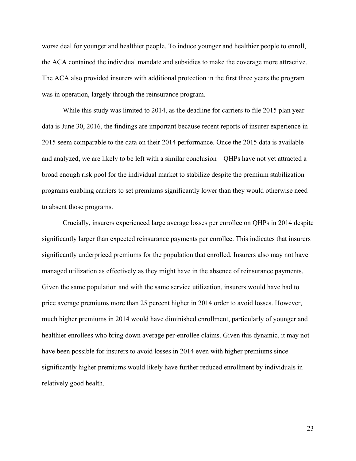worse deal for younger and healthier people. To induce younger and healthier people to enroll, the ACA contained the individual mandate and subsidies to make the coverage more attractive. The ACA also provided insurers with additional protection in the first three years the program was in operation, largely through the reinsurance program.

While this study was limited to 2014, as the deadline for carriers to file 2015 plan year data is June 30, 2016, the findings are important because recent reports of insurer experience in 2015 seem comparable to the data on their 2014 performance. Once the 2015 data is available and analyzed, we are likely to be left with a similar conclusion—QHPs have not yet attracted a broad enough risk pool for the individual market to stabilize despite the premium stabilization programs enabling carriers to set premiums significantly lower than they would otherwise need to absent those programs.

Crucially, insurers experienced large average losses per enrollee on QHPs in 2014 despite significantly larger than expected reinsurance payments per enrollee. This indicates that insurers significantly underpriced premiums for the population that enrolled. Insurers also may not have managed utilization as effectively as they might have in the absence of reinsurance payments. Given the same population and with the same service utilization, insurers would have had to price average premiums more than 25 percent higher in 2014 order to avoid losses. However, much higher premiums in 2014 would have diminished enrollment, particularly of younger and healthier enrollees who bring down average per-enrollee claims. Given this dynamic, it may not have been possible for insurers to avoid losses in 2014 even with higher premiums since significantly higher premiums would likely have further reduced enrollment by individuals in relatively good health.

23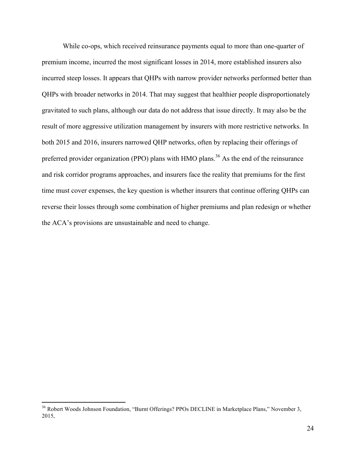While co-ops, which received reinsurance payments equal to more than one-quarter of premium income, incurred the most significant losses in 2014, more established insurers also incurred steep losses. It appears that QHPs with narrow provider networks performed better than QHPs with broader networks in 2014. That may suggest that healthier people disproportionately gravitated to such plans, although our data do not address that issue directly. It may also be the result of more aggressive utilization management by insurers with more restrictive networks. In both 2015 and 2016, insurers narrowed QHP networks, often by replacing their offerings of preferred provider organization (PPO) plans with HMO plans.<sup>36</sup> As the end of the reinsurance and risk corridor programs approaches, and insurers face the reality that premiums for the first time must cover expenses, the key question is whether insurers that continue offering QHPs can reverse their losses through some combination of higher premiums and plan redesign or whether the ACA's provisions are unsustainable and need to change.

<sup>&</sup>lt;sup>36</sup> Robert Woods Johnson Foundation, "Burnt Offerings? PPOs DECLINE in Marketplace Plans," November 3, 2015,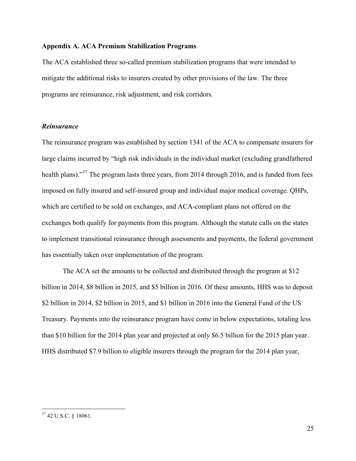# **Appendix A. ACA Premium Stabilization Programs**

The ACA established three so-called premium stabilization programs that were intended to mitigate the additional risks to insurers created by other provisions of the law. The three programs are reinsurance, risk adjustment, and risk corridors.

# *Reinsurance*

The reinsurance program was established by section 1341 of the ACA to compensate insurers for large claims incurred by "high risk individuals in the individual market (excluding grandfathered health plans)."<sup>37</sup> The program lasts three years, from 2014 through 2016, and is funded from fees imposed on fully insured and self-insured group and individual major medical coverage. QHPs, which are certified to be sold on exchanges, and ACA-compliant plans not offered on the exchanges both qualify for payments from this program. Although the statute calls on the states to implement transitional reinsurance through assessments and payments, the federal government has essentially taken over implementation of the program.

The ACA set the amounts to be collected and distributed through the program at \$12 billion in 2014, \$8 billion in 2015, and \$5 billion in 2016. Of these amounts, HHS was to deposit \$2 billion in 2014, \$2 billion in 2015, and \$1 billion in 2016 into the General Fund of the US Treasury. Payments into the reinsurance program have come in below expectations, totaling less than \$10 billion for the 2014 plan year and projected at only \$6.5 billion for the 2015 plan year. HHS distributed \$7.9 billion to eligible insurers through the program for the 2014 plan year,

 <sup>37</sup> 42 U.S.C. § 18061.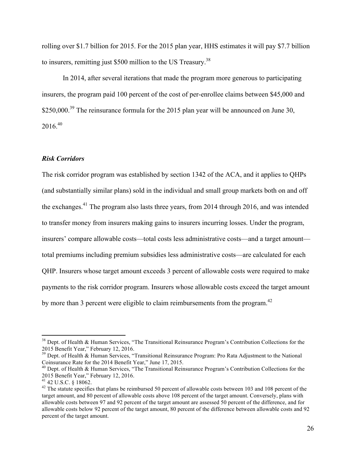rolling over \$1.7 billion for 2015. For the 2015 plan year, HHS estimates it will pay \$7.7 billion to insurers, remitting just \$500 million to the US Treasury.<sup>38</sup>

In 2014, after several iterations that made the program more generous to participating insurers, the program paid 100 percent of the cost of per-enrollee claims between \$45,000 and \$250,000.<sup>39</sup> The reinsurance formula for the 2015 plan year will be announced on June 30,  $2016^{40}$ 

## *Risk Corridors*

The risk corridor program was established by section 1342 of the ACA, and it applies to QHPs (and substantially similar plans) sold in the individual and small group markets both on and off the exchanges.<sup>41</sup> The program also lasts three years, from 2014 through 2016, and was intended to transfer money from insurers making gains to insurers incurring losses. Under the program, insurers' compare allowable costs—total costs less administrative costs—and a target amount total premiums including premium subsidies less administrative costs—are calculated for each QHP. Insurers whose target amount exceeds 3 percent of allowable costs were required to make payments to the risk corridor program. Insurers whose allowable costs exceed the target amount by more than 3 percent were eligible to claim reimbursements from the program.<sup>42</sup>

<sup>&</sup>lt;sup>38</sup> Dept. of Health & Human Services, "The Transitional Reinsurance Program's Contribution Collections for the 2015 Benefit Year," February 12, 2016.

 $39$  Dept. of Health & Human Services, "Transitional Reinsurance Program: Pro Rata Adjustment to the National Coinsurance Rate for the 2014 Benefit Year," June 17, 2015.

<sup>&</sup>lt;sup>40</sup> Dept. of Health & Human Services, "The Transitional Reinsurance Program's Contribution Collections for the 2015 Benefit Year," February 12, 2016.<br><sup>41</sup> 42 U.S.C. § 18062.

 $42$  The statute specifies that plans be reimbursed 50 percent of allowable costs between 103 and 108 percent of the target amount, and 80 percent of allowable costs above 108 percent of the target amount. Conversely, plans with allowable costs between 97 and 92 percent of the target amount are assessed 50 percent of the difference, and for allowable costs below 92 percent of the target amount, 80 percent of the difference between allowable costs and 92 percent of the target amount.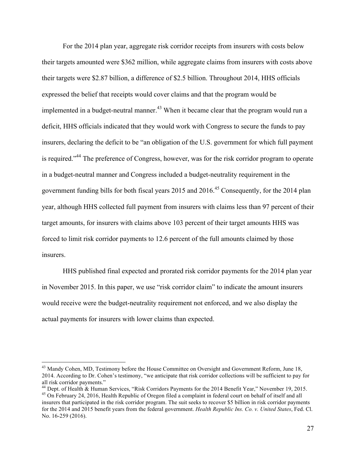For the 2014 plan year, aggregate risk corridor receipts from insurers with costs below their targets amounted were \$362 million, while aggregate claims from insurers with costs above their targets were \$2.87 billion, a difference of \$2.5 billion. Throughout 2014, HHS officials expressed the belief that receipts would cover claims and that the program would be implemented in a budget-neutral manner.<sup>43</sup> When it became clear that the program would run a deficit, HHS officials indicated that they would work with Congress to secure the funds to pay insurers, declaring the deficit to be "an obligation of the U.S. government for which full payment is required."<sup>44</sup> The preference of Congress, however, was for the risk corridor program to operate in a budget-neutral manner and Congress included a budget-neutrality requirement in the government funding bills for both fiscal years  $2015$  and  $2016<sup>45</sup>$  Consequently, for the 2014 plan year, although HHS collected full payment from insurers with claims less than 97 percent of their target amounts, for insurers with claims above 103 percent of their target amounts HHS was forced to limit risk corridor payments to 12.6 percent of the full amounts claimed by those insurers.

HHS published final expected and prorated risk corridor payments for the 2014 plan year in November 2015. In this paper, we use "risk corridor claim" to indicate the amount insurers would receive were the budget-neutrality requirement not enforced, and we also display the actual payments for insurers with lower claims than expected.

<sup>&</sup>lt;sup>43</sup> Mandy Cohen, MD, Testimony before the House Committee on Oversight and Government Reform, June 18, 2014. According to Dr. Cohen's testimony, "we anticipate that risk corridor collections will be sufficient to pay for all risk corridor payments."

<sup>&</sup>lt;sup>44</sup> Dept. of Health & Human Services, "Risk Corridors Payments for the 2014 Benefit Year," November 19, 2015.<br><sup>45</sup> On February 24, 2016, Health Republic of Oregon filed a complaint in federal court on behalf of itself and

insurers that participated in the risk corridor program. The suit seeks to recover \$5 billion in risk corridor payments for the 2014 and 2015 benefit years from the federal government. *Health Republic Ins. Co. v. United States*, Fed. Cl. No. 16-259 (2016).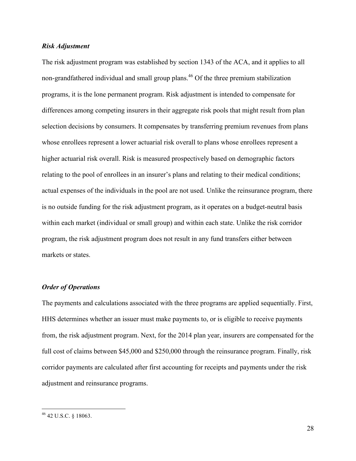## *Risk Adjustment*

The risk adjustment program was established by section 1343 of the ACA, and it applies to all non-grandfathered individual and small group plans.<sup>46</sup> Of the three premium stabilization programs, it is the lone permanent program. Risk adjustment is intended to compensate for differences among competing insurers in their aggregate risk pools that might result from plan selection decisions by consumers. It compensates by transferring premium revenues from plans whose enrollees represent a lower actuarial risk overall to plans whose enrollees represent a higher actuarial risk overall. Risk is measured prospectively based on demographic factors relating to the pool of enrollees in an insurer's plans and relating to their medical conditions; actual expenses of the individuals in the pool are not used. Unlike the reinsurance program, there is no outside funding for the risk adjustment program, as it operates on a budget-neutral basis within each market (individual or small group) and within each state. Unlike the risk corridor program, the risk adjustment program does not result in any fund transfers either between markets or states.

# *Order of Operations*

The payments and calculations associated with the three programs are applied sequentially. First, HHS determines whether an issuer must make payments to, or is eligible to receive payments from, the risk adjustment program. Next, for the 2014 plan year, insurers are compensated for the full cost of claims between \$45,000 and \$250,000 through the reinsurance program. Finally, risk corridor payments are calculated after first accounting for receipts and payments under the risk adjustment and reinsurance programs.

 <sup>46</sup> 42 U.S.C. § 18063.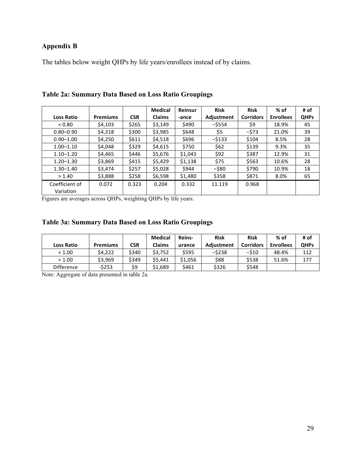# **Appendix B**

The tables below weight QHPs by life years/enrollees instead of by claims.

|                             |                 |            | <b>Medical</b> | Reinsur | <b>Risk</b> | <b>Risk</b>      | $%$ of           | # of        |
|-----------------------------|-----------------|------------|----------------|---------|-------------|------------------|------------------|-------------|
| <b>Loss Ratio</b>           | <b>Premiums</b> | <b>CSR</b> | <b>Claims</b>  | -ance   | Adjustment  | <b>Corridors</b> | <b>Enrollees</b> | <b>QHPs</b> |
| < 0.80                      | \$4.103         | \$265      | \$3,149        | \$490   | $-$ \$554   | \$9              | 18.9%            | 45          |
| $0.80 - 0.90$               | \$4,318         | \$300      | \$3,985        | \$648   | \$5         | $-573$           | 21.0%            | 39          |
| $0.90 - 1.00$               | \$4,250         | \$611      | \$4,518        | \$696   | -\$133      | \$104            | 8.5%             | 28          |
| $1.00 - 1.10$               | \$4,048         | \$329      | \$4,615        | \$750   | \$62        | \$139            | 9.3%             | 35          |
| $1.10 - 1.20$               | \$4,465         | \$446      | \$5,676        | \$1,043 | \$92        | \$387            | 12.9%            | 31          |
| $1.20 - 1.30$               | \$3,869         | \$415      | \$5,429        | \$1,138 | \$75        | \$563            | 10.6%            | 28          |
| $1.30 - 1.40$               | \$3,474         | \$257      | \$5,028        | \$944   | $-$ \$80    | \$790            | 10.9%            | 18          |
| > 1.40                      | \$3,888         | \$258      | \$6,598        | \$1,480 | \$358       | \$871            | 8.0%             | 65          |
| Coefficient of<br>Variation | 0.072           | 0.323      | 0.204          | 0.332   | 11.119      | 0.968            |                  |             |

**Table 2a: Summary Data Based on Loss Ratio Groupings**

Figures are averages across QHPs, weighting QHPs by life years.

# **Table 3a: Summary Data Based on Loss Ratio Groupings**

|                   |                 |            | <b>Medical</b> | Reins-  | <b>Risk</b> | <b>Risk</b>      | % of             | # of        |
|-------------------|-----------------|------------|----------------|---------|-------------|------------------|------------------|-------------|
| <b>Loss Ratio</b> | <b>Premiums</b> | <b>CSR</b> | <b>Claims</b>  | urance  | Adiustment  | <b>Corridors</b> | <b>Enrollees</b> | <b>QHPs</b> |
| < 1.00            | \$4,222         | \$340      | \$3.752        | \$595   | $-5238$     | $-510$           | 48.4%            | 112         |
| > 1.00            | \$3.969         | \$349      | \$5.441        | \$1,056 | \$88        | \$538            | 51.6%            | 177         |
| <b>Difference</b> | $-5253$         | \$9        | \$1.689        | \$461   | \$326       | \$548            |                  |             |

Note: Aggregate of data presented in table 2a.